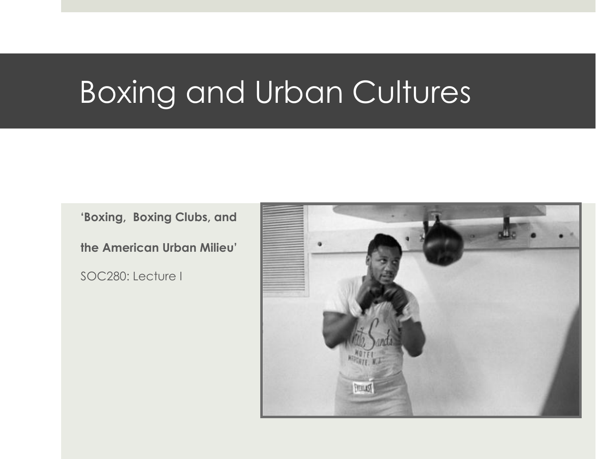## Boxing and Urban Cultures

**'Boxing, Boxing Clubs, and** 

**the American Urban Milieu'**

SOC280: Lecture I

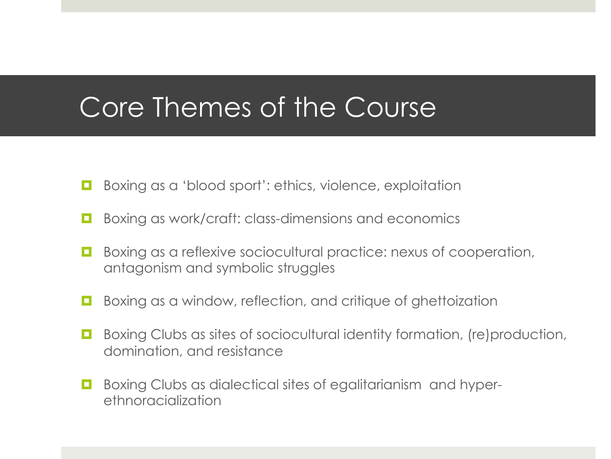### Core Themes of the Course

- **E** Boxing as a 'blood sport': ethics, violence, exploitation
- **E** Boxing as work/craft: class-dimensions and economics
- **E** Boxing as a reflexive sociocultural practice: nexus of cooperation, antagonism and symbolic struggles
- $\Box$  Boxing as a window, reflection, and critique of ghettoization
- **E** Boxing Clubs as sites of sociocultural identity formation, (re)production, domination, and resistance
- $\Box$  Boxing Clubs as dialectical sites of egalitarianism and hyperethnoracialization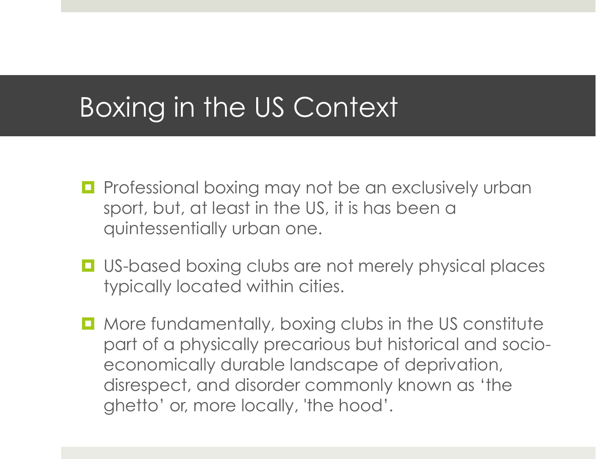## Boxing in the US Context

- $\Box$  Professional boxing may not be an exclusively urban sport, but, at least in the US, it is has been a quintessentially urban one.
- $\Box$  US-based boxing clubs are not merely physical places typically located within cities.
- $\Box$  More fundamentally, boxing clubs in the US constitute part of a physically precarious but historical and socioeconomically durable landscape of deprivation, disrespect, and disorder commonly known as 'the ghetto' or, more locally, 'the hood'.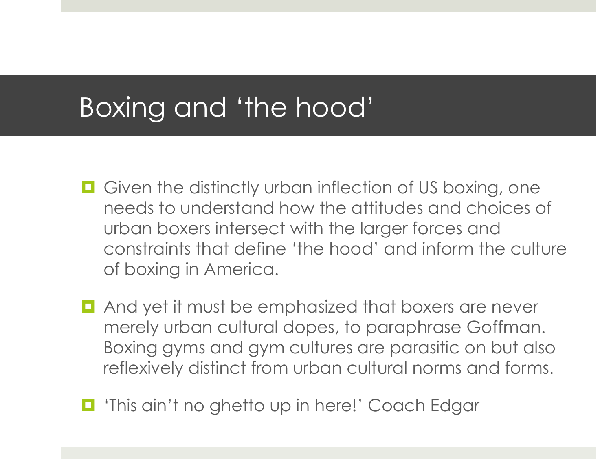### Boxing and 'the hood'

- $\Box$  Given the distinctly urban inflection of US boxing, one needs to understand how the attitudes and choices of urban boxers intersect with the larger forces and constraints that define 'the hood' and inform the culture of boxing in America.
- $\blacksquare$  And yet it must be emphasized that boxers are never merely urban cultural dopes, to paraphrase Goffman. Boxing gyms and gym cultures are parasitic on but also reflexively distinct from urban cultural norms and forms.
- $\blacksquare$  'This ain't no ghetto up in here!' Coach Edgar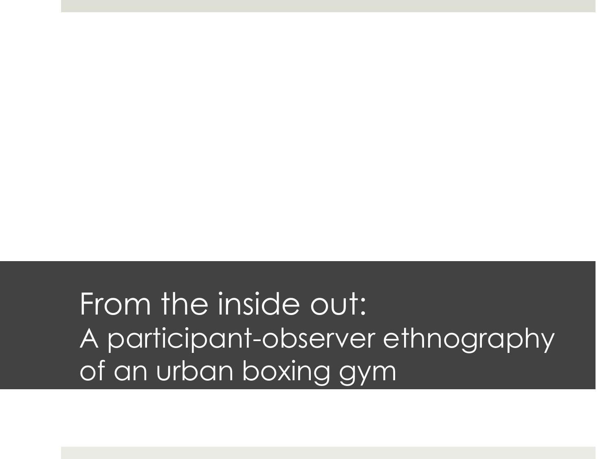From the inside out: A participant-observer ethnography of an urban boxing gym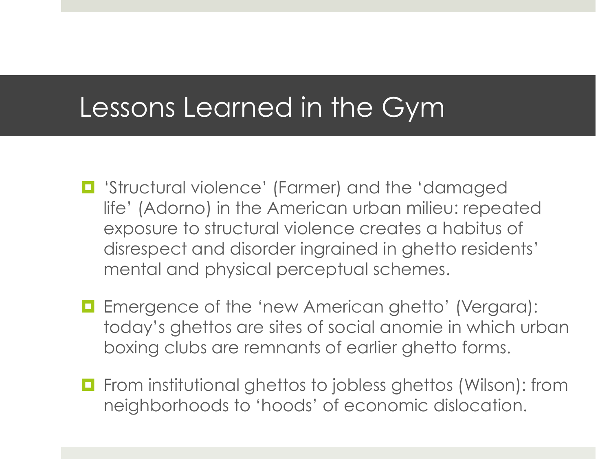#### Lessons Learned in the Gym

- $\blacksquare$  'Structural violence' (Farmer) and the 'damaged life' (Adorno) in the American urban milieu: repeated exposure to structural violence creates a habitus of disrespect and disorder ingrained in ghetto residents' mental and physical perceptual schemes.
- **E** Emergence of the 'new American ghetto' (Vergara): today's ghettos are sites of social anomie in which urban boxing clubs are remnants of earlier ghetto forms.
- $\Box$  From institutional ghettos to jobless ghettos (Wilson): from neighborhoods to 'hoods' of economic dislocation.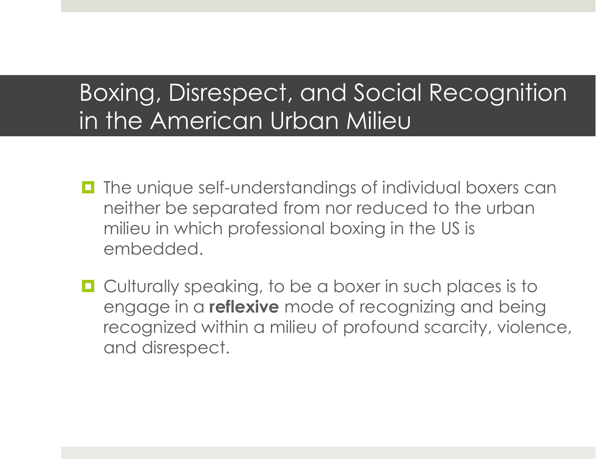#### Boxing, Disrespect, and Social Recognition in the American Urban Milieu

- $\blacksquare$  The unique self-understandings of individual boxers can neither be separated from nor reduced to the urban milieu in which professional boxing in the US is embedded.
- $\Box$  Culturally speaking, to be a boxer in such places is to engage in a **reflexive** mode of recognizing and being recognized within a milieu of profound scarcity, violence, and disrespect.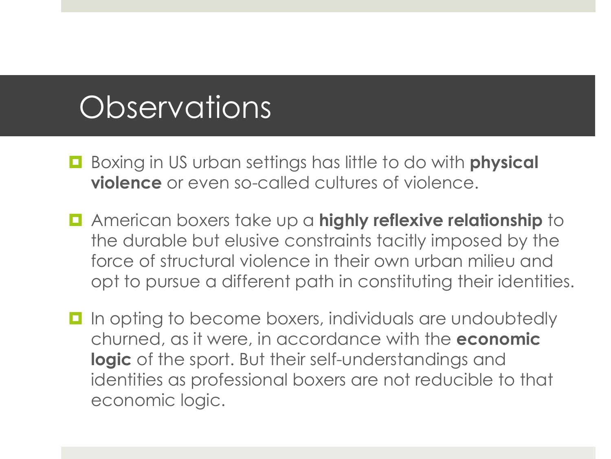# **Observations**

- ! Boxing in US urban settings has little to do with **physical violence** or even so-called cultures of violence.
- ! American boxers take up a **highly reflexive relationship** to the durable but elusive constraints tacitly imposed by the force of structural violence in their own urban milieu and opt to pursue a different path in constituting their identities.
- $\Box$  In opting to become boxers, individuals are undoubtedly churned, as it were, in accordance with the **economic logic** of the sport. But their self-understandings and identities as professional boxers are not reducible to that economic logic.